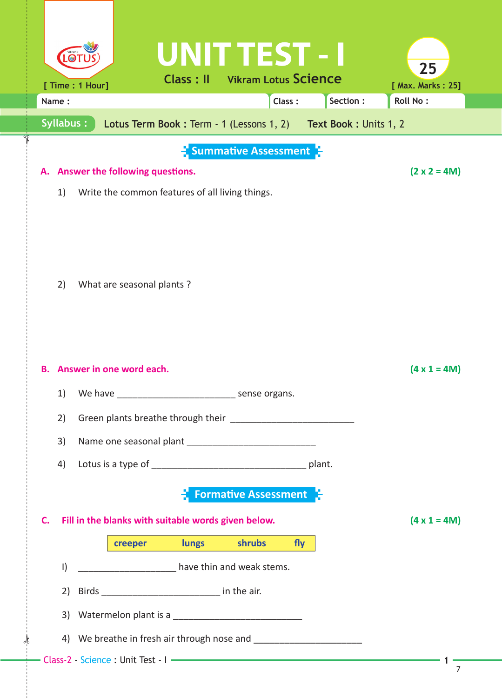|                                                           | UNITTEST - I                                                                                                          |                       |                                      |
|-----------------------------------------------------------|-----------------------------------------------------------------------------------------------------------------------|-----------------------|--------------------------------------|
|                                                           | <b>Vikram Lotus Science</b><br><b>Class: II</b>                                                                       |                       | 25                                   |
| [ Time : 1 Hour]<br>Name:                                 | Class:                                                                                                                | Section:              | [ Max. Marks: 25]<br><b>Roll No:</b> |
| Syllabus:                                                 | Lotus Term Book: Term - 1 (Lessons 1, 2)                                                                              | Text Book: Units 1, 2 |                                      |
|                                                           |                                                                                                                       |                       |                                      |
|                                                           | $\frac{1}{2}$ Summative Assessment $\frac{1}{2}$                                                                      |                       |                                      |
| Answer the following questions.<br>А.                     |                                                                                                                       |                       | $(2 \times 2 = 4M)$                  |
| 1)<br>Write the common features of all living things.     |                                                                                                                       |                       |                                      |
|                                                           |                                                                                                                       |                       |                                      |
|                                                           |                                                                                                                       |                       |                                      |
|                                                           |                                                                                                                       |                       |                                      |
| What are seasonal plants?<br>2)                           |                                                                                                                       |                       |                                      |
|                                                           |                                                                                                                       |                       |                                      |
|                                                           |                                                                                                                       |                       |                                      |
|                                                           |                                                                                                                       |                       |                                      |
| Answer in one word each.<br>В.                            |                                                                                                                       |                       | $(4 \times 1 = 4M)$                  |
| 1)<br>We have                                             | sense organs.                                                                                                         |                       |                                      |
| 2)                                                        |                                                                                                                       |                       |                                      |
|                                                           |                                                                                                                       |                       |                                      |
| 3)                                                        |                                                                                                                       |                       |                                      |
| 4)                                                        |                                                                                                                       |                       |                                      |
|                                                           | <b>Formative Assessment</b>                                                                                           |                       |                                      |
| Fill in the blanks with suitable words given below.<br>C. |                                                                                                                       |                       | $(4 \times 1 = 4M)$                  |
| creeper                                                   | shrubs<br>lungs                                                                                                       | fly                   |                                      |
|                                                           |                                                                                                                       |                       |                                      |
| $\vert$                                                   | <b>National Contract Contract Contract Contract Contract Contract Contract Contract Contract Contract Contract Co</b> |                       |                                      |
| 2)                                                        |                                                                                                                       |                       |                                      |
|                                                           |                                                                                                                       |                       |                                      |
|                                                           |                                                                                                                       |                       |                                      |
|                                                           |                                                                                                                       |                       | $\overline{7}$                       |